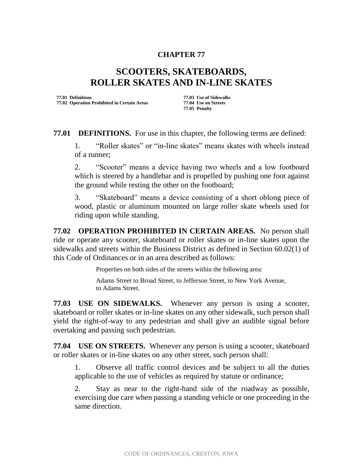## **CHAPTER 77**

## **SCOOTERS, SKATEBOARDS, ROLLER SKATES AND IN-LINE SKATES**

**77.01 Definitions 77.03 Use of Sidewalks 77.02 Operation Prohibited in Certain Areas** 

**77.05 Penalty**

**77.01 DEFINITIONS.** For use in this chapter, the following terms are defined:

1. "Roller skates" or "in-line skates" means skates with wheels instead of a runner;

2. "Scooter" means a device having two wheels and a low footboard which is steered by a handlebar and is propelled by pushing one foot against the ground while resting the other on the footboard;

3. "Skateboard" means a device consisting of a short oblong piece of wood, plastic or aluminum mounted on large roller skate wheels used for riding upon while standing.

**77.02 OPERATION PROHIBITED IN CERTAIN AREAS.** No person shall ride or operate any scooter, skateboard or roller skates or in-line skates upon the sidewalks and streets within the Business District as defined in Section 60.02(1) of this Code of Ordinances or in an area described as follows:

Properties on both sides of the streets within the following area:

Adams Street to Broad Street, to Jefferson Street, to New York Avenue, to Adams Street.

**77.03 USE ON SIDEWALKS.** Whenever any person is using a scooter, skateboard or roller skates or in-line skates on any other sidewalk, such person shall yield the right-of-way to any pedestrian and shall give an audible signal before overtaking and passing such pedestrian.

**77.04 USE ON STREETS.** Whenever any person is using a scooter, skateboard or roller skates or in-line skates on any other street, such person shall:

1. Observe all traffic control devices and be subject to all the duties applicable to the use of vehicles as required by statute or ordinance;

2. Stay as near to the right-hand side of the roadway as possible, exercising due care when passing a standing vehicle or one proceeding in the same direction.